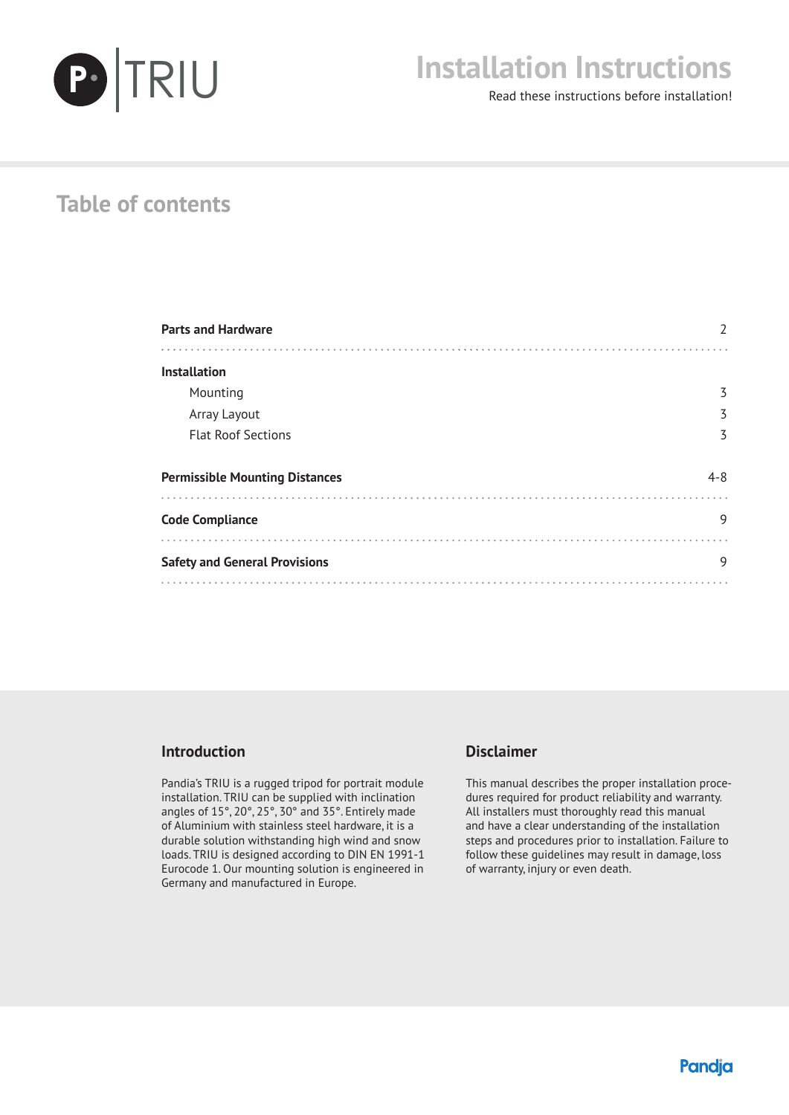

# **Installation Instructions**

Read these instructions before installation!

# **Table of contents**

| <b>Parts and Hardware</b>             |         |
|---------------------------------------|---------|
| <b>Installation</b>                   |         |
|                                       |         |
| Mounting                              | 3       |
| Array Layout                          | 3       |
| <b>Flat Roof Sections</b>             | 3       |
|                                       |         |
| <b>Permissible Mounting Distances</b> | $4 - 8$ |
|                                       |         |
| <b>Code Compliance</b>                | 9       |
|                                       |         |
| <b>Safety and General Provisions</b>  | 9       |
|                                       |         |

#### **Introduction**

Pandia's TRIU is a rugged tripod for portrait module installation. TRIU can be supplied with inclination angles of 15°, 20°, 25°, 30° and 35°. Entirely made of Aluminium with stainless steel hardware, it is a durable solution withstanding high wind and snow loads. TRIU is designed according to DIN EN 1991-1 Eurocode 1. Our mounting solution is engineered in Germany and manufactured in Europe.

#### **Disclaimer**

This manual describes the proper installation procedures required for product reliability and warranty. All installers must thoroughly read this manual and have a clear understanding of the installation steps and procedures prior to installation. Failure to follow these guidelines may result in damage, loss of warranty, injury or even death.

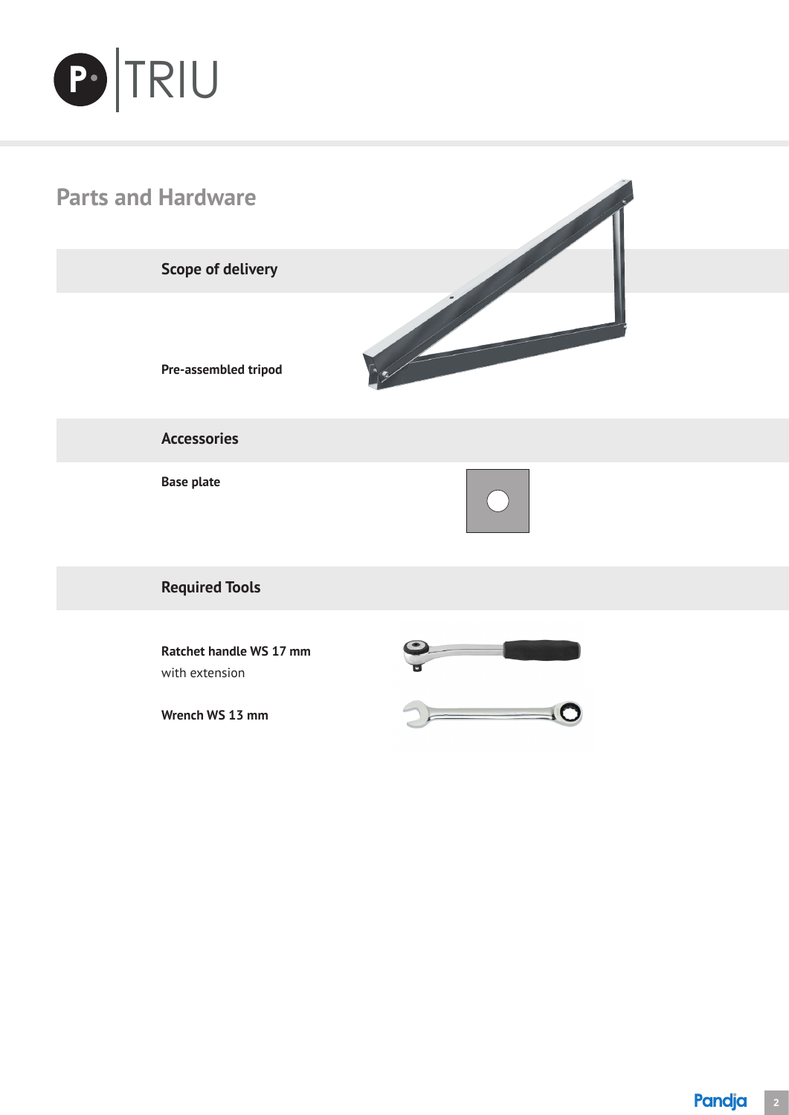



**Wrench WS 13 mm**

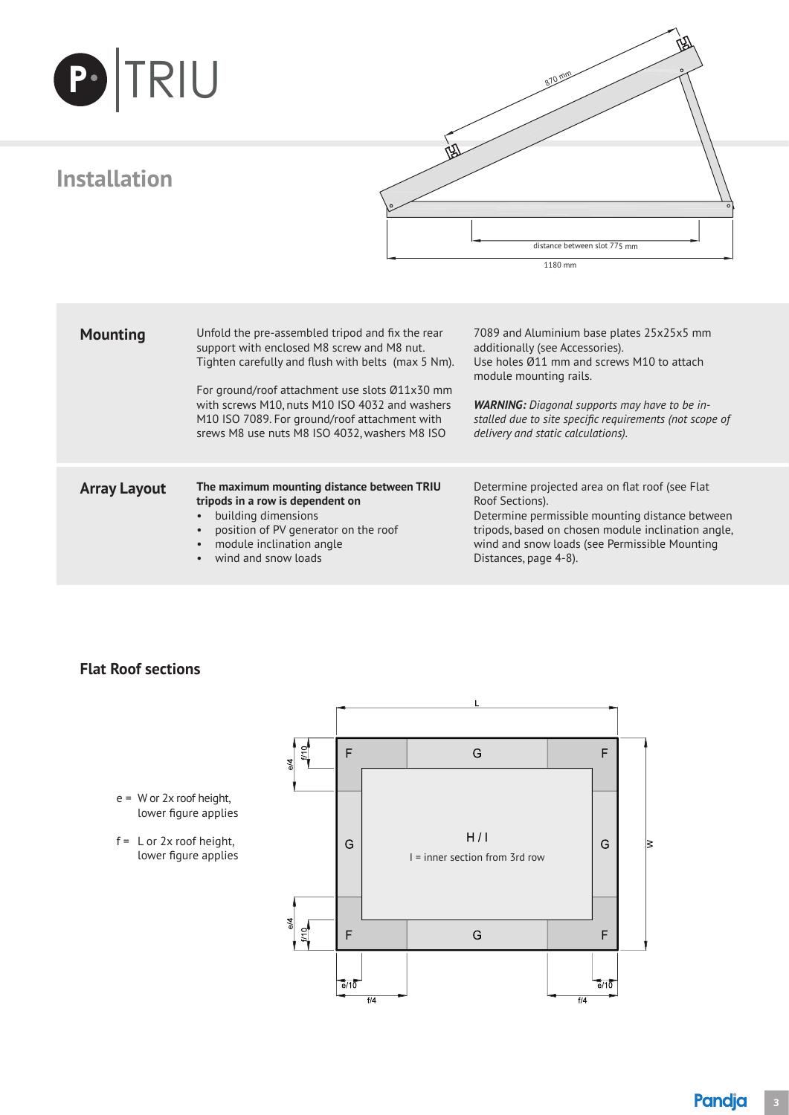| PTRIU               |                                                                                                                                                                                                                                                                                                                                                            |                                                                                                                                                                                                                                                                                                              |
|---------------------|------------------------------------------------------------------------------------------------------------------------------------------------------------------------------------------------------------------------------------------------------------------------------------------------------------------------------------------------------------|--------------------------------------------------------------------------------------------------------------------------------------------------------------------------------------------------------------------------------------------------------------------------------------------------------------|
| <b>Installation</b> |                                                                                                                                                                                                                                                                                                                                                            | distance between slot 775 mm<br>1180 mm                                                                                                                                                                                                                                                                      |
| <b>Mounting</b>     | Unfold the pre-assembled tripod and fix the rear<br>support with enclosed M8 screw and M8 nut.<br>Tighten carefully and flush with belts (max 5 Nm).<br>For ground/roof attachment use slots Ø11x30 mm<br>with screws M10, nuts M10 ISO 4032 and washers<br>M10 ISO 7089. For ground/roof attachment with<br>srews M8 use nuts M8 ISO 4032, washers M8 ISO | 7089 and Aluminium base plates 25x25x5 mm<br>additionally (see Accessories).<br>Use holes Ø11 mm and screws M10 to attach<br>module mounting rails.<br><b>WARNING:</b> Diagonal supports may have to be in-<br>stalled due to site specific requirements (not scope of<br>delivery and static calculations). |
| <b>Array Layout</b> | The maximum mounting distance between TRIU<br>tripods in a row is dependent on<br>building dimensions<br>position of PV generator on the roof<br>module inclination angle<br>wind and snow loads                                                                                                                                                           | Determine projected area on flat roof (see Flat<br>Roof Sections).<br>Determine permissible mounting distance between<br>tripods, based on chosen module inclination angle,<br>wind and snow loads (see Permissible Mounting<br>Distances, page 4-8).                                                        |

#### **Flat Roof sections**



f = L or 2x roof height, lower figure applies

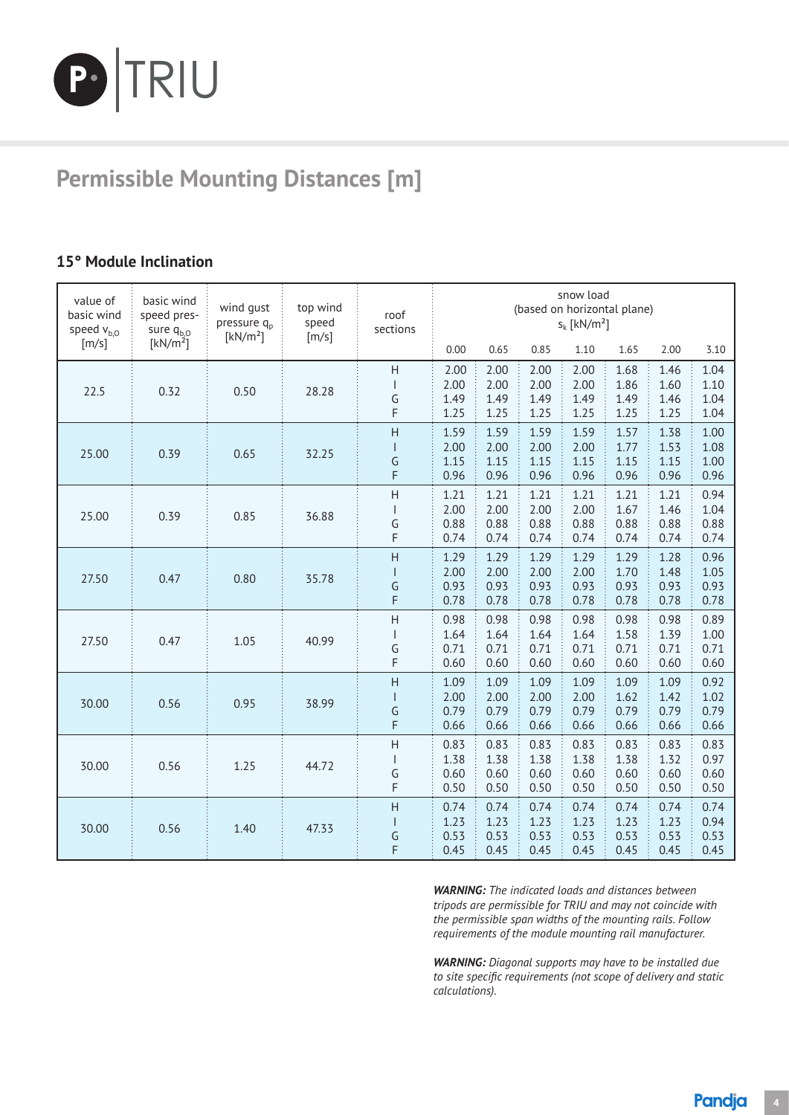

# **Permissible Mounting Distances [m]**

### 5° Module Inclination **15° Module Inclination**

| value of<br>basic wind<br>speed $v_{b,0}$ | basic wind<br>speed pres-<br>sure $q_{b,0}$ | wind gust<br>pressure q <sub>n</sub><br>[kN/m <sup>2</sup> ] | top wind<br>speed<br>[m/s] | roof<br>sections                                                                                                                                                                                                                                                                                                                                                                                                                                      |                              |                              |                              | snow load<br>$S_k$ [kN/m <sup>2</sup> ] | (based on horizontal plane)  |                              |                              |
|-------------------------------------------|---------------------------------------------|--------------------------------------------------------------|----------------------------|-------------------------------------------------------------------------------------------------------------------------------------------------------------------------------------------------------------------------------------------------------------------------------------------------------------------------------------------------------------------------------------------------------------------------------------------------------|------------------------------|------------------------------|------------------------------|-----------------------------------------|------------------------------|------------------------------|------------------------------|
| [m/s]                                     | [kN/m <sup>2</sup> ]                        |                                                              |                            |                                                                                                                                                                                                                                                                                                                                                                                                                                                       | 0.00                         | 0.65                         | 0.85                         | 1.10                                    | 1.65                         | 2.00                         | 3.10                         |
| 22.5                                      | 0.32                                        | 0.50                                                         | 28.28                      | H<br>G<br>F                                                                                                                                                                                                                                                                                                                                                                                                                                           | 2.00<br>2.00<br>1.49<br>1.25 | 2.00<br>2.00<br>1.49<br>1.25 | 2.00<br>2.00<br>1.49<br>1.25 | 2.00<br>2.00<br>1.49<br>1.25            | 1.68<br>1.86<br>1.49<br>1.25 | 1.46<br>1.60<br>1.46<br>1.25 | 1.04<br>1.10<br>1.04<br>1.04 |
| 25.00                                     | 0.39                                        | 0.65                                                         | 32.25                      | H<br>G<br>F                                                                                                                                                                                                                                                                                                                                                                                                                                           | 1.59<br>2.00<br>1.15<br>0.96 | 1.59<br>2.00<br>1.15<br>0.96 | 1.59<br>2.00<br>1.15<br>0.96 | 1.59<br>2.00<br>1.15<br>0.96            | 1.57<br>1.77<br>1.15<br>0.96 | 1.38<br>1.53<br>1.15<br>0.96 | 1.00<br>1.08<br>1.00<br>0.96 |
| 25.00                                     | 0.39                                        | 0.85                                                         | 36.88                      | H<br>$\overline{1}$<br>G<br>F                                                                                                                                                                                                                                                                                                                                                                                                                         | 1.21<br>2.00<br>0.88<br>0.74 | 1.21<br>2.00<br>0.88<br>0.74 | 1.21<br>2.00<br>0.88<br>0.74 | 1.21<br>2.00<br>0.88<br>0.74            | 1.21<br>1.67<br>0.88<br>0.74 | 1.21<br>1.46<br>0.88<br>0.74 | 0.94<br>1.04<br>0.88<br>0.74 |
| 27.50                                     | 0.47                                        | 0.80                                                         | 35.78                      | H<br>$\mathsf{I}$<br>G<br>F                                                                                                                                                                                                                                                                                                                                                                                                                           | 1.29<br>2.00<br>0.93<br>0.78 | 1.29<br>2.00<br>0.93<br>0.78 | 1.29<br>2.00<br>0.93<br>0.78 | 1.29<br>2.00<br>0.93<br>0.78            | 1.29<br>1.70<br>0.93<br>0.78 | 1.28<br>1.48<br>0.93<br>0.78 | 0.96<br>1.05<br>0.93<br>0.78 |
| 27.50                                     | 0.47                                        | 1.05                                                         | 40.99                      | H<br>$\mathsf{I}$<br>G<br>F                                                                                                                                                                                                                                                                                                                                                                                                                           | 0.98<br>1.64<br>0.71<br>0.60 | 0.98<br>1.64<br>0.71<br>0.60 | 0.98<br>1.64<br>0.71<br>0.60 | 0.98<br>1.64<br>0.71<br>0.60            | 0.98<br>1.58<br>0.71<br>0.60 | 0.98<br>1.39<br>0.71<br>0.60 | 0.89<br>1.00<br>0.71<br>0.60 |
| 30.00                                     | 0.56                                        | 0.95                                                         | 38.99                      | $\overline{H}$<br>L<br>G<br>F                                                                                                                                                                                                                                                                                                                                                                                                                         | 1.09<br>2.00<br>0.79<br>0.66 | 1.09<br>2.00<br>0.79<br>0.66 | 1.09<br>2.00<br>0.79<br>0.66 | 1.09<br>2.00<br>0.79<br>0.66            | 1.09<br>1.62<br>0.79<br>0.66 | 1.09<br>1.42<br>0.79<br>0.66 | 0.92<br>1.02<br>0.79<br>0.66 |
| 30.00                                     | 0.56                                        | 1.25                                                         | 44.72                      | $\boldsymbol{\mathsf{H}}$<br>$\begin{array}{c} \rule{0pt}{2ex} \rule{0pt}{2ex} \rule{0pt}{2ex} \rule{0pt}{2ex} \rule{0pt}{2ex} \rule{0pt}{2ex} \rule{0pt}{2ex} \rule{0pt}{2ex} \rule{0pt}{2ex} \rule{0pt}{2ex} \rule{0pt}{2ex} \rule{0pt}{2ex} \rule{0pt}{2ex} \rule{0pt}{2ex} \rule{0pt}{2ex} \rule{0pt}{2ex} \rule{0pt}{2ex} \rule{0pt}{2ex} \rule{0pt}{2ex} \rule{0pt}{2ex} \rule{0pt}{2ex} \rule{0pt}{2ex} \rule{0pt}{2ex} \rule{0pt}{$<br>G<br>F | 0.83<br>1.38<br>0.60<br>0.50 | 0.83<br>1.38<br>0.60<br>0.50 | 0.83<br>1.38<br>0.60<br>0.50 | 0.83<br>1.38<br>0.60<br>0.50            | 0.83<br>1.38<br>0.60<br>0.50 | 0.83<br>1.32<br>0.60<br>0.50 | 0.83<br>0.97<br>0.60<br>0.50 |
| 30.00                                     | 0.56                                        | 1.40                                                         | 47.33                      | H<br>$\mathsf{I}$<br>G<br>F                                                                                                                                                                                                                                                                                                                                                                                                                           | 0.74<br>1.23<br>0.53<br>0.45 | 0.74<br>1.23<br>0.53<br>0.45 | 0.74<br>1.23<br>0.53<br>0.45 | 0.74<br>1.23<br>0.53<br>0.45            | 0.74<br>1.23<br>0.53<br>0.45 | 0.74<br>1.23<br>0.53<br>0.45 | 0.74<br>0.94<br>0.53<br>0.45 |

*WARNING: The indicated loads and distances between tripods are permissible for TRIU and may not coincide with the permissible span widths of the mounting rails. Follow requirements of the module mounting rail manufacturer.*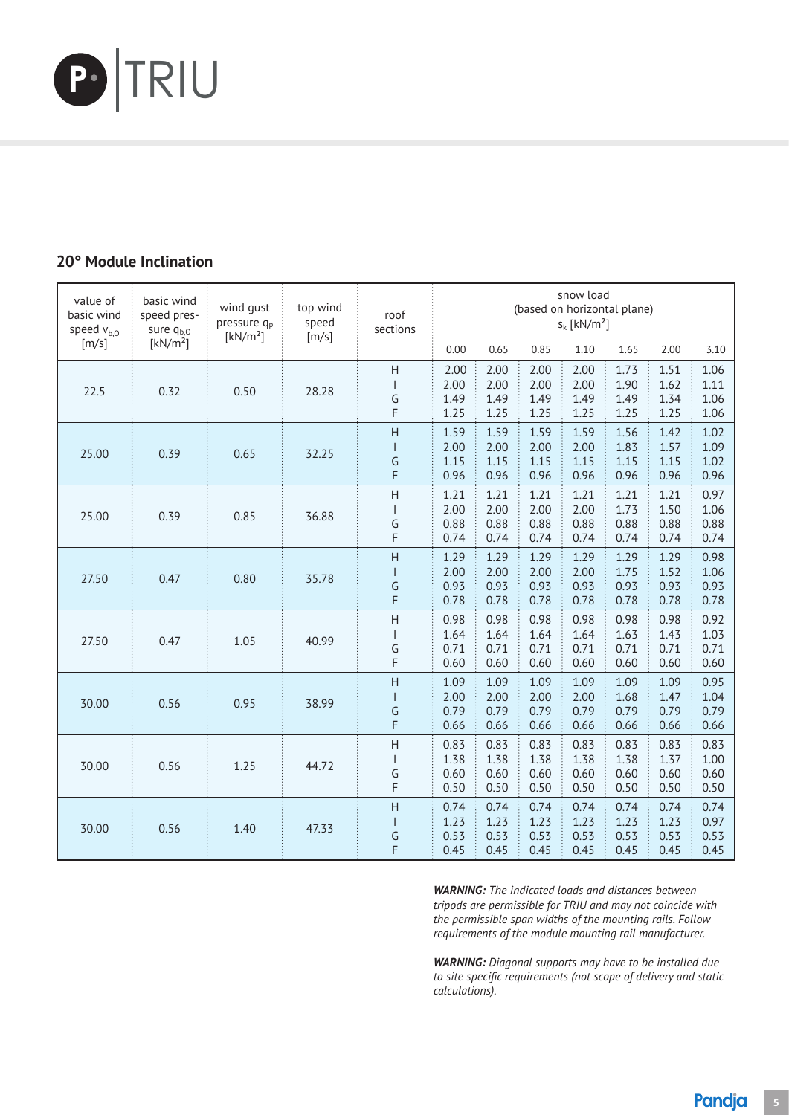

### 0° Module Inclination **20° Module Inclination**

| value of<br>basic wind<br>speed $v_{b,0}$ | basic wind<br>speed pres-<br>sure q <sub>b,0</sub> | wind gust<br>pressure q <sub>p</sub><br>[kN/m <sup>2</sup> ] | top wind<br>speed<br>[m/s] | roof<br>sections                                     |                              |                              |                              | snow load<br>$S_k$ [kN/m <sup>2</sup> ] | (based on horizontal plane)  |                              |                              |
|-------------------------------------------|----------------------------------------------------|--------------------------------------------------------------|----------------------------|------------------------------------------------------|------------------------------|------------------------------|------------------------------|-----------------------------------------|------------------------------|------------------------------|------------------------------|
| [m/s]                                     | [kN/m <sup>2</sup> ]                               |                                                              |                            |                                                      | 0.00                         | 0.65                         | 0.85                         | 1.10                                    | 1.65                         | 2.00                         | 3.10                         |
| 22.5                                      | 0.32                                               | 0.50                                                         | 28.28                      | H<br>G<br>F                                          | 2.00<br>2.00<br>1.49<br>1.25 | 2.00<br>2.00<br>1.49<br>1.25 | 2.00<br>2.00<br>1.49<br>1.25 | 2.00<br>2.00<br>1.49<br>1.25            | 1.73<br>1.90<br>1.49<br>1.25 | 1.51<br>1.62<br>1.34<br>1.25 | 1.06<br>1.11<br>1.06<br>1.06 |
| 25.00                                     | 0.39                                               | 0.65                                                         | 32.25                      | $\overline{H}$<br>G<br>F                             | 1.59<br>2.00<br>1.15<br>0.96 | 1.59<br>2.00<br>1.15<br>0.96 | 1.59<br>2.00<br>1.15<br>0.96 | 1.59<br>2.00<br>1.15<br>0.96            | 1.56<br>1.83<br>1.15<br>0.96 | 1.42<br>1.57<br>1.15<br>0.96 | 1.02<br>1.09<br>1.02<br>0.96 |
| 25.00                                     | 0.39                                               | 0.85                                                         | 36.88                      | $\overline{H}$<br>G<br>F                             | 1.21<br>2.00<br>0.88<br>0.74 | 1.21<br>2.00<br>0.88<br>0.74 | 1.21<br>2.00<br>0.88<br>0.74 | 1.21<br>2.00<br>0.88<br>0.74            | 1.21<br>1.73<br>0.88<br>0.74 | 1.21<br>1.50<br>0.88<br>0.74 | 0.97<br>1.06<br>0.88<br>0.74 |
| 27.50                                     | 0.47                                               | 0.80                                                         | 35.78                      | $\overline{H}$<br>$\mathbf{I}$<br>G<br>F             | 1.29<br>2.00<br>0.93<br>0.78 | 1.29<br>2.00<br>0.93<br>0.78 | 1.29<br>2.00<br>0.93<br>0.78 | 1.29<br>2.00<br>0.93<br>0.78            | 1.29<br>1.75<br>0.93<br>0.78 | 1.29<br>1.52<br>0.93<br>0.78 | 0.98<br>1.06<br>0.93<br>0.78 |
| 27.50                                     | 0.47                                               | 1.05                                                         | 40.99                      | $\overline{H}$<br>$\overline{\phantom{a}}$<br>G<br>F | 0.98<br>1.64<br>0.71<br>0.60 | 0.98<br>1.64<br>0.71<br>0.60 | 0.98<br>1.64<br>0.71<br>0.60 | 0.98<br>1.64<br>0.71<br>0.60            | 0.98<br>1.63<br>0.71<br>0.60 | 0.98<br>1.43<br>0.71<br>0.60 | 0.92<br>1.03<br>0.71<br>0.60 |
| 30.00                                     | 0.56                                               | 0.95                                                         | 38.99                      | $\overline{H}$<br>$\mathsf{I}$<br>G<br>F             | 1.09<br>2.00<br>0.79<br>0.66 | 1.09<br>2.00<br>0.79<br>0.66 | 1.09<br>2.00<br>0.79<br>0.66 | 1.09<br>2.00<br>0.79<br>0.66            | 1.09<br>1.68<br>0.79<br>0.66 | 1.09<br>1.47<br>0.79<br>0.66 | 0.95<br>1.04<br>0.79<br>0.66 |
| 30.00                                     | 0.56                                               | 1.25                                                         | 44.72                      | $\overline{H}$<br>$\overline{\phantom{a}}$<br>G<br>F | 0.83<br>1.38<br>0.60<br>0.50 | 0.83<br>1.38<br>0.60<br>0.50 | 0.83<br>1.38<br>0.60<br>0.50 | 0.83<br>1.38<br>0.60<br>0.50            | 0.83<br>1.38<br>0.60<br>0.50 | 0.83<br>1.37<br>0.60<br>0.50 | 0.83<br>1.00<br>0.60<br>0.50 |
| 30.00                                     | 0.56                                               | 1.40                                                         | 47.33                      | H<br>$\mathsf{I}$<br>G<br>F                          | 0.74<br>1.23<br>0.53<br>0.45 | 0.74<br>1.23<br>0.53<br>0.45 | 0.74<br>1.23<br>0.53<br>0.45 | 0.74<br>1.23<br>0.53<br>0.45            | 0.74<br>1.23<br>0.53<br>0.45 | 0.74<br>1.23<br>0.53<br>0.45 | 0.74<br>0.97<br>0.53<br>0.45 |

*WARNING: The indicated loads and distances between tripods are permissible for TRIU and may not coincide with the permissible span widths of the mounting rails. Follow requirements of the module mounting rail manufacturer.*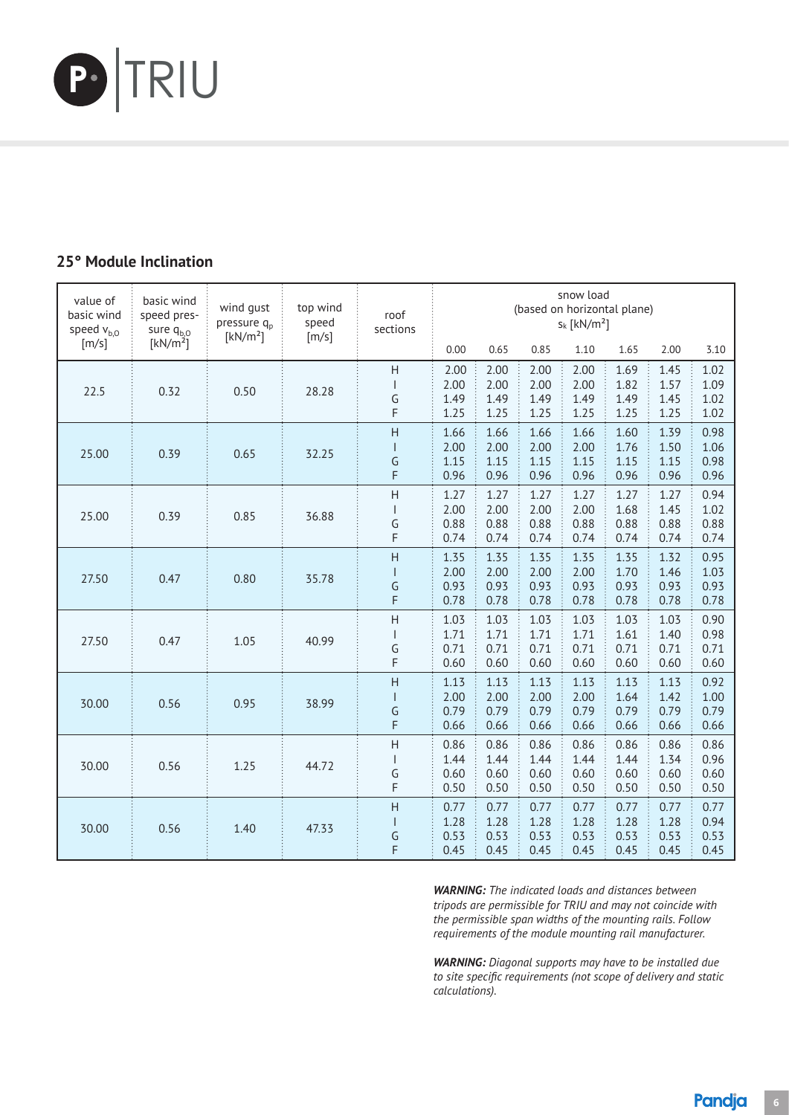

### 5° Module Inclination **25° Module Inclination**

| value of<br>basic wind<br>speed $v_{b,0}$ | basic wind<br>speed pres-<br>sure $q_{b,0}$ | wind gust<br>pressure q <sub>p</sub><br>[kN/m <sup>2</sup> ] | top wind<br>speed<br>[m/s] | roof<br>sections                                     |                              |                              |                              | snow load<br>$s_k$ [kN/m <sup>2</sup> ] | (based on horizontal plane)  |                              |                              |
|-------------------------------------------|---------------------------------------------|--------------------------------------------------------------|----------------------------|------------------------------------------------------|------------------------------|------------------------------|------------------------------|-----------------------------------------|------------------------------|------------------------------|------------------------------|
| [m/s]                                     | [kN/m <sup>2</sup> ]                        |                                                              |                            |                                                      | 0.00                         | 0.65                         | 0.85                         | 1.10                                    | 1.65                         | 2.00                         | 3.10                         |
| 22.5                                      | 0.32                                        | 0.50                                                         | 28.28                      | H<br>G<br>F                                          | 2.00<br>2.00<br>1.49<br>1.25 | 2.00<br>2.00<br>1.49<br>1.25 | 2.00<br>2.00<br>1.49<br>1.25 | 2.00<br>2.00<br>1.49<br>1.25            | 1.69<br>1.82<br>1.49<br>1.25 | 1.45<br>1.57<br>1.45<br>1.25 | 1.02<br>1.09<br>1.02<br>1.02 |
| 25.00                                     | 0.39                                        | 0.65                                                         | 32.25                      | $\overline{H}$<br>G<br>F                             | 1.66<br>2.00<br>1.15<br>0.96 | 1.66<br>2.00<br>1.15<br>0.96 | 1.66<br>2.00<br>1.15<br>0.96 | 1.66<br>2.00<br>1.15<br>0.96            | 1.60<br>1.76<br>1.15<br>0.96 | 1.39<br>1.50<br>1.15<br>0.96 | 0.98<br>1.06<br>0.98<br>0.96 |
| 25.00                                     | 0.39                                        | 0.85                                                         | 36.88                      | $\overline{H}$<br>G<br>F                             | 1.27<br>2.00<br>0.88<br>0.74 | 1.27<br>2.00<br>0.88<br>0.74 | 1.27<br>2.00<br>0.88<br>0.74 | 1.27<br>2.00<br>0.88<br>0.74            | 1.27<br>1.68<br>0.88<br>0.74 | 1.27<br>1.45<br>0.88<br>0.74 | 0.94<br>1.02<br>0.88<br>0.74 |
| 27.50                                     | 0.47                                        | 0.80                                                         | 35.78                      | H<br>$\mathsf{I}$<br>G<br>F                          | 1.35<br>2.00<br>0.93<br>0.78 | 1.35<br>2.00<br>0.93<br>0.78 | 1.35<br>2.00<br>0.93<br>0.78 | 1.35<br>2.00<br>0.93<br>0.78            | 1.35<br>1.70<br>0.93<br>0.78 | 1.32<br>1.46<br>0.93<br>0.78 | 0.95<br>1.03<br>0.93<br>0.78 |
| 27.50                                     | 0.47                                        | 1.05                                                         | 40.99                      | $\overline{H}$<br>$\overline{\phantom{a}}$<br>G<br>F | 1.03<br>1.71<br>0.71<br>0.60 | 1.03<br>1.71<br>0.71<br>0.60 | 1.03<br>1.71<br>0.71<br>0.60 | 1.03<br>1.71<br>0.71<br>0.60            | 1.03<br>1.61<br>0.71<br>0.60 | 1.03<br>1.40<br>0.71<br>0.60 | 0.90<br>0.98<br>0.71<br>0.60 |
| 30.00                                     | 0.56                                        | 0.95                                                         | 38.99                      | $\overline{H}$<br>$\mathsf{I}$<br>G<br>F             | 1.13<br>2.00<br>0.79<br>0.66 | 1.13<br>2.00<br>0.79<br>0.66 | 1.13<br>2.00<br>0.79<br>0.66 | 1.13<br>2.00<br>0.79<br>0.66            | 1.13<br>1.64<br>0.79<br>0.66 | 1.13<br>1.42<br>0.79<br>0.66 | 0.92<br>1.00<br>0.79<br>0.66 |
| 30.00                                     | 0.56                                        | 1.25                                                         | 44.72                      | $\overline{H}$<br>$\overline{\phantom{a}}$<br>G<br>F | 0.86<br>1.44<br>0.60<br>0.50 | 0.86<br>1.44<br>0.60<br>0.50 | 0.86<br>1.44<br>0.60<br>0.50 | 0.86<br>1.44<br>0.60<br>0.50            | 0.86<br>1.44<br>0.60<br>0.50 | 0.86<br>1.34<br>0.60<br>0.50 | 0.86<br>0.96<br>0.60<br>0.50 |
| 30.00                                     | 0.56                                        | 1.40                                                         | 47.33                      | H<br>$\mathsf{I}$<br>G<br>F                          | 0.77<br>1.28<br>0.53<br>0.45 | 0.77<br>1.28<br>0.53<br>0.45 | 0.77<br>1.28<br>0.53<br>0.45 | 0.77<br>1.28<br>0.53<br>0.45            | 0.77<br>1.28<br>0.53<br>0.45 | 0.77<br>1.28<br>0.53<br>0.45 | 0.77<br>0.94<br>0.53<br>0.45 |

*WARNING: The indicated loads and distances between tripods are permissible for TRIU and may not coincide with the permissible span widths of the mounting rails. Follow requirements of the module mounting rail manufacturer.*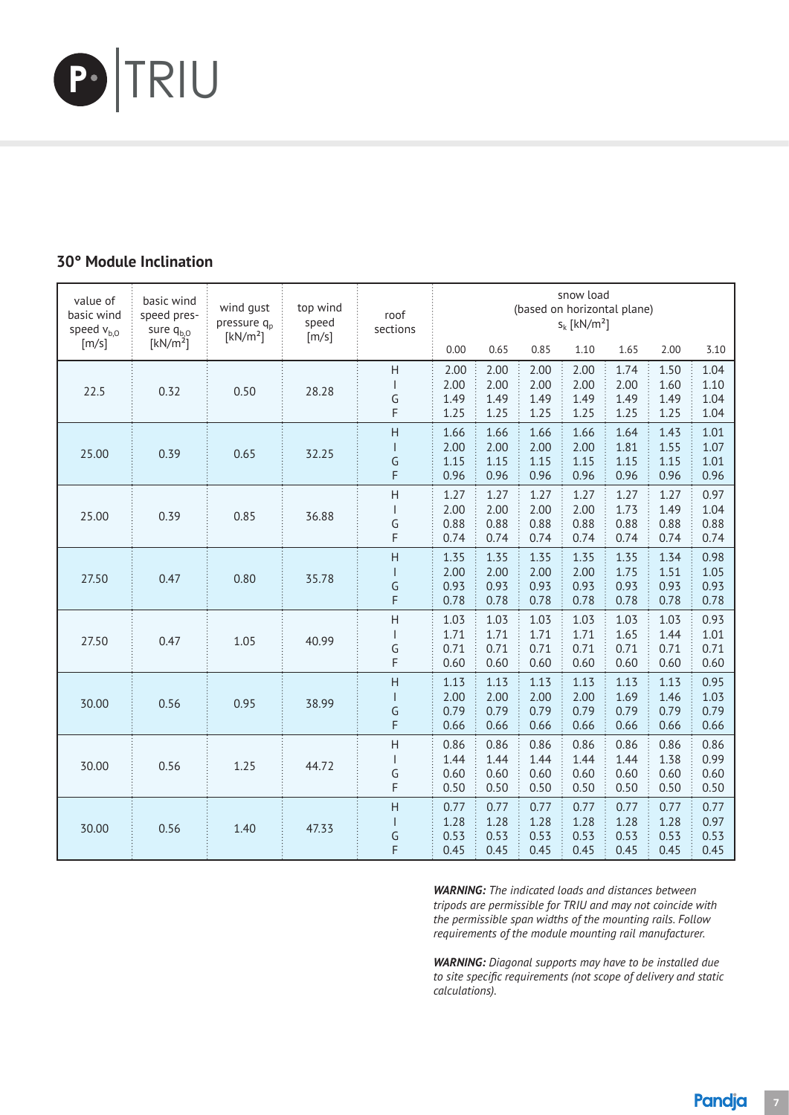

### 0° Module Inclination **30° Module Inclination**

| value of<br>basic wind<br>speed $v_{b,0}$ | basic wind<br>speed pres-<br>sure $q_{b,0}$ | wind qust<br>pressure q <sub>p</sub><br>[kN/m <sup>2</sup> ] | top wind<br>speed<br>[m/s] | roof<br>sections                                     |                              |                              |                              | snow load<br>$s_k$ [kN/m <sup>2</sup> ] | (based on horizontal plane)  |                              |                              |
|-------------------------------------------|---------------------------------------------|--------------------------------------------------------------|----------------------------|------------------------------------------------------|------------------------------|------------------------------|------------------------------|-----------------------------------------|------------------------------|------------------------------|------------------------------|
| [m/s]                                     | [kN/m <sup>2</sup> ]                        |                                                              |                            |                                                      | 0.00                         | 0.65                         | 0.85                         | 1.10                                    | 1.65                         | 2.00                         | 3.10                         |
| 22.5                                      | 0.32                                        | 0.50                                                         | 28.28                      | H<br>G<br>F                                          | 2.00<br>2.00<br>1.49<br>1.25 | 2.00<br>2.00<br>1.49<br>1.25 | 2.00<br>2.00<br>1.49<br>1.25 | 2.00<br>2.00<br>1.49<br>1.25            | 1.74<br>2.00<br>1.49<br>1.25 | 1.50<br>1.60<br>1.49<br>1.25 | 1.04<br>1.10<br>1.04<br>1.04 |
| 25.00                                     | 0.39                                        | 0.65                                                         | 32.25                      | H<br>G<br>F                                          | 1.66<br>2.00<br>1.15<br>0.96 | 1.66<br>2.00<br>1.15<br>0.96 | 1.66<br>2.00<br>1.15<br>0.96 | 1.66<br>2.00<br>1.15<br>0.96            | 1.64<br>1.81<br>1.15<br>0.96 | 1.43<br>1.55<br>1.15<br>0.96 | 1.01<br>1.07<br>1.01<br>0.96 |
| 25.00                                     | 0.39                                        | 0.85                                                         | 36.88                      | $\overline{H}$<br>G<br>F                             | 1.27<br>2.00<br>0.88<br>0.74 | 1.27<br>2.00<br>0.88<br>0.74 | 1.27<br>2.00<br>0.88<br>0.74 | 1.27<br>2.00<br>0.88<br>0.74            | 1.27<br>1.73<br>0.88<br>0.74 | 1.27<br>1.49<br>0.88<br>0.74 | 0.97<br>1.04<br>0.88<br>0.74 |
| 27.50                                     | 0.47                                        | 0.80                                                         | 35.78                      | $\overline{H}$<br>G<br>F                             | 1.35<br>2.00<br>0.93<br>0.78 | 1.35<br>2.00<br>0.93<br>0.78 | 1.35<br>2.00<br>0.93<br>0.78 | 1.35<br>2.00<br>0.93<br>0.78            | 1.35<br>1.75<br>0.93<br>0.78 | 1.34<br>1.51<br>0.93<br>0.78 | 0.98<br>1.05<br>0.93<br>0.78 |
| 27.50                                     | 0.47                                        | 1.05                                                         | 40.99                      | Η<br>$\overline{\phantom{a}}$<br>G<br>F              | 1.03<br>1.71<br>0.71<br>0.60 | 1.03<br>1.71<br>0.71<br>0.60 | 1.03<br>1.71<br>0.71<br>0.60 | 1.03<br>1.71<br>0.71<br>0.60            | 1.03<br>1.65<br>0.71<br>0.60 | 1.03<br>1.44<br>0.71<br>0.60 | 0.93<br>1.01<br>0.71<br>0.60 |
| 30.00                                     | 0.56                                        | 0.95                                                         | 38.99                      | H<br>$\overline{\phantom{a}}$<br>G<br>F              | 1.13<br>2.00<br>0.79<br>0.66 | 1.13<br>2.00<br>0.79<br>0.66 | 1.13<br>2.00<br>0.79<br>0.66 | 1.13<br>2.00<br>0.79<br>0.66            | 1.13<br>1.69<br>0.79<br>0.66 | 1.13<br>1.46<br>0.79<br>0.66 | 0.95<br>1.03<br>0.79<br>0.66 |
| 30.00                                     | 0.56                                        | 1.25                                                         | 44.72                      | $\overline{H}$<br>$\overline{\phantom{a}}$<br>G<br>F | 0.86<br>1.44<br>0.60<br>0.50 | 0.86<br>1.44<br>0.60<br>0.50 | 0.86<br>1.44<br>0.60<br>0.50 | 0.86<br>1.44<br>0.60<br>0.50            | 0.86<br>1.44<br>0.60<br>0.50 | 0.86<br>1.38<br>0.60<br>0.50 | 0.86<br>0.99<br>0.60<br>0.50 |
| 30.00                                     | 0.56                                        | 1.40                                                         | 47.33                      | H<br>$\mathsf{I}$<br>G<br>F                          | 0.77<br>1.28<br>0.53<br>0.45 | 0.77<br>1.28<br>0.53<br>0.45 | 0.77<br>1.28<br>0.53<br>0.45 | 0.77<br>1.28<br>0.53<br>0.45            | 0.77<br>1.28<br>0.53<br>0.45 | 0.77<br>1.28<br>0.53<br>0.45 | 0.77<br>0.97<br>0.53<br>0.45 |

*WARNING: The indicated loads and distances between tripods are permissible for TRIU and may not coincide with the permissible span widths of the mounting rails. Follow requirements of the module mounting rail manufacturer.*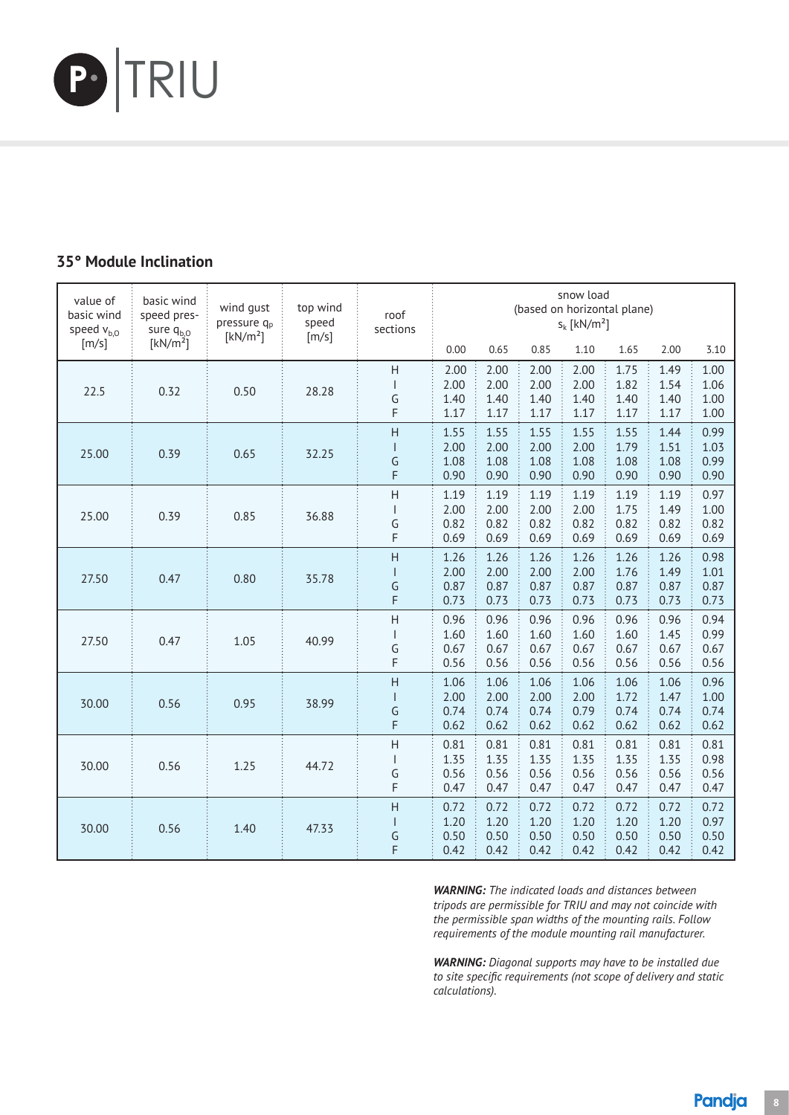

### 5° Module Inclination **35° Module Inclination**

| value of<br>basic wind<br>speed $v_{b,0}$ | basic wind<br>speed pres-<br>sure $q_{b,0}$<br>[kN/m <sup>2</sup> ] | wind gust<br>pressure q <sub>p</sub><br>[kN/m <sup>2</sup> ] | top wind<br>speed<br>[m/s] | snow load<br>(based on horizontal plane)<br>roof<br>$S_k$ [kN/m <sup>2</sup> ]<br>sections |                              |                              |                              |                              |                              |                              |                              |
|-------------------------------------------|---------------------------------------------------------------------|--------------------------------------------------------------|----------------------------|--------------------------------------------------------------------------------------------|------------------------------|------------------------------|------------------------------|------------------------------|------------------------------|------------------------------|------------------------------|
| [m/s]                                     |                                                                     |                                                              |                            |                                                                                            | 0.00                         | 0.65                         | 0.85                         | 1.10                         | 1.65                         | 2.00                         | 3.10                         |
| 22.5                                      | 0.32                                                                | 0.50                                                         | 28.28                      | H<br>ı<br>G<br>F                                                                           | 2.00<br>2.00<br>1.40<br>1.17 | 2.00<br>2.00<br>1.40<br>1.17 | 2.00<br>2.00<br>1.40<br>1.17 | 2.00<br>2.00<br>1.40<br>1.17 | 1.75<br>1.82<br>1.40<br>1.17 | 1.49<br>1.54<br>1.40<br>1.17 | 1.00<br>1.06<br>1.00<br>1.00 |
| 25.00                                     | 0.39                                                                | 0.65                                                         | 32.25                      | H<br>I<br>G<br>F                                                                           | 1.55<br>2.00<br>1.08<br>0.90 | 1.55<br>2.00<br>1.08<br>0.90 | 1.55<br>2.00<br>1.08<br>0.90 | 1.55<br>2.00<br>1.08<br>0.90 | 1.55<br>1.79<br>1.08<br>0.90 | 1.44<br>1.51<br>1.08<br>0.90 | 0.99<br>1.03<br>0.99<br>0.90 |
| 25.00                                     | 0.39                                                                | 0.85                                                         | 36.88                      | $\overline{H}$<br>$\mathsf{l}$<br>G<br>F                                                   | 1.19<br>2.00<br>0.82<br>0.69 | 1.19<br>2.00<br>0.82<br>0.69 | 1.19<br>2.00<br>0.82<br>0.69 | 1.19<br>2.00<br>0.82<br>0.69 | 1.19<br>1.75<br>0.82<br>0.69 | 1.19<br>1.49<br>0.82<br>0.69 | 0.97<br>1.00<br>0.82<br>0.69 |
| 27.50                                     | 0.47                                                                | 0.80                                                         | 35.78                      | H<br>$\overline{\phantom{a}}$<br>G<br>F                                                    | 1.26<br>2.00<br>0.87<br>0.73 | 1.26<br>2.00<br>0.87<br>0.73 | 1.26<br>2.00<br>0.87<br>0.73 | 1.26<br>2.00<br>0.87<br>0.73 | 1.26<br>1.76<br>0.87<br>0.73 | 1.26<br>1.49<br>0.87<br>0.73 | 0.98<br>1.01<br>0.87<br>0.73 |
| 27.50                                     | 0.47                                                                | 1.05                                                         | 40.99                      | H<br>$\vert$<br>G<br>F                                                                     | 0.96<br>1.60<br>0.67<br>0.56 | 0.96<br>1.60<br>0.67<br>0.56 | 0.96<br>1.60<br>0.67<br>0.56 | 0.96<br>1.60<br>0.67<br>0.56 | 0.96<br>1.60<br>0.67<br>0.56 | 0.96<br>1.45<br>0.67<br>0.56 | 0.94<br>0.99<br>0.67<br>0.56 |
| 30.00                                     | 0.56                                                                | 0.95                                                         | 38.99                      | H<br>$\begin{array}{c} \hline \end{array}$<br>G<br>F                                       | 1.06<br>2.00<br>0.74<br>0.62 | 1.06<br>2.00<br>0.74<br>0.62 | 1.06<br>2.00<br>0.74<br>0.62 | 1.06<br>2.00<br>0.79<br>0.62 | 1.06<br>1.72<br>0.74<br>0.62 | 1.06<br>1.47<br>0.74<br>0.62 | 0.96<br>1.00<br>0.74<br>0.62 |
| 30.00                                     | 0.56                                                                | 1.25                                                         | 44.72                      | $\overline{H}$<br>$\begin{array}{c} \hline \end{array}$<br>G<br>F                          | 0.81<br>1.35<br>0.56<br>0.47 | 0.81<br>1.35<br>0.56<br>0.47 | 0.81<br>1.35<br>0.56<br>0.47 | 0.81<br>1.35<br>0.56<br>0.47 | 0.81<br>1.35<br>0.56<br>0.47 | 0.81<br>1.35<br>0.56<br>0.47 | 0.81<br>0.98<br>0.56<br>0.47 |
| 30.00                                     | 0.56                                                                | 1.40                                                         | 47.33                      | H<br>$\mathsf{I}$<br>G<br>F                                                                | 0.72<br>1.20<br>0.50<br>0.42 | 0.72<br>1.20<br>0.50<br>0.42 | 0.72<br>1.20<br>0.50<br>0.42 | 0.72<br>1.20<br>0.50<br>0.42 | 0.72<br>1.20<br>0.50<br>0.42 | 0.72<br>1.20<br>0.50<br>0.42 | 0.72<br>0.97<br>0.50<br>0.42 |

*WARNING: The indicated loads and distances between tripods are permissible for TRIU and may not coincide with the permissible span widths of the mounting rails. Follow requirements of the module mounting rail manufacturer.*